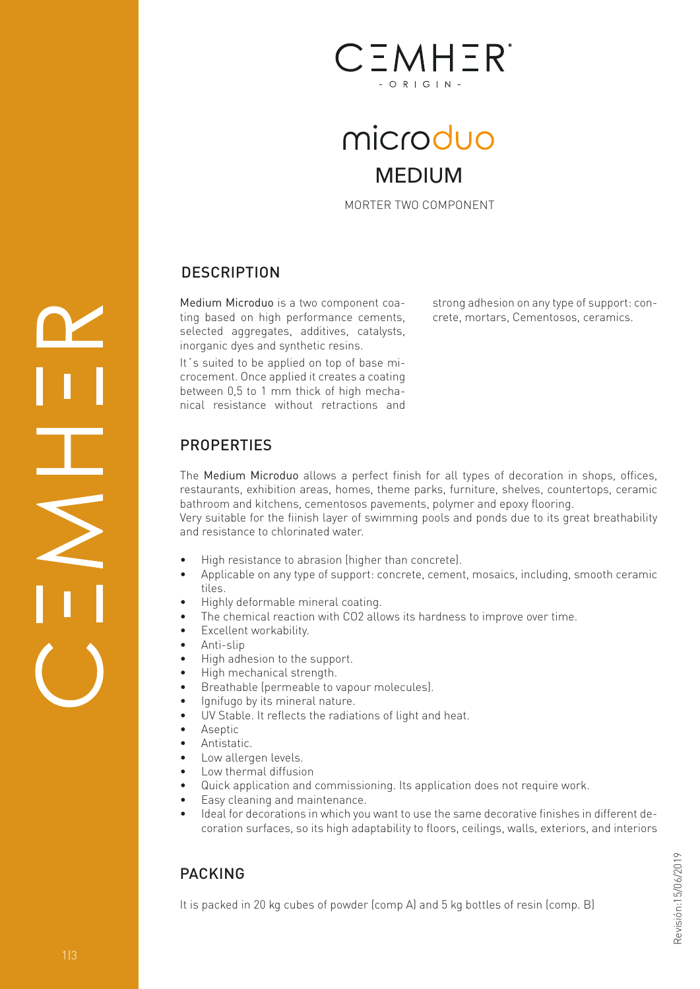

# microduo MEDIUM

MORTER TWO COMPONENT

strong adhesion on any type of support: concrete, mortars, Cementosos, ceramics.

## **DESCRIPTION**

Medium Microduo is a two component coating based on high performance cements, selected aggregates, additives, catalysts, inorganic dyes and synthetic resins.

It´s suited to be applied on top of base microcement. Once applied it creates a coating between 0,5 to 1 mm thick of high mechanical resistance without retractions and

## **PROPERTIES**

The Medium Microduo allows a perfect finish for all types of decoration in shops, offices, restaurants, exhibition areas, homes, theme parks, furniture, shelves, countertops, ceramic bathroom and kitchens, cementosos pavements, polymer and epoxy flooring.

Very suitable for the fiinish layer of swimming pools and ponds due to its great breathability and resistance to chlorinated water.

- High resistance to abrasion (higher than concrete).
- Applicable on any type of support: concrete, cement, mosaics, including, smooth ceramic tiles.
- Highly deformable mineral coating.
- The chemical reaction with CO2 allows its hardness to improve over time.
- Excellent workability.
- Anti-slip
- High adhesion to the support.
- High mechanical strength.
- Breathable (permeable to vapour molecules).
- Ignifugo by its mineral nature.
- UV Stable. It reflects the radiations of light and heat.
- Aseptic
- Antistatic.
- Low allergen levels.
- Low thermal diffusion
- Quick application and commissioning. Its application does not require work.
- Easy cleaning and maintenance.
- Ideal for decorations in which you want to use the same decorative finishes in different decoration surfaces, so its high adaptability to floors, ceilings, walls, exteriors, and interiors

## PACKING

It is packed in 20 kg cubes of powder (comp A) and 5 kg bottles of resin (comp. B)

I.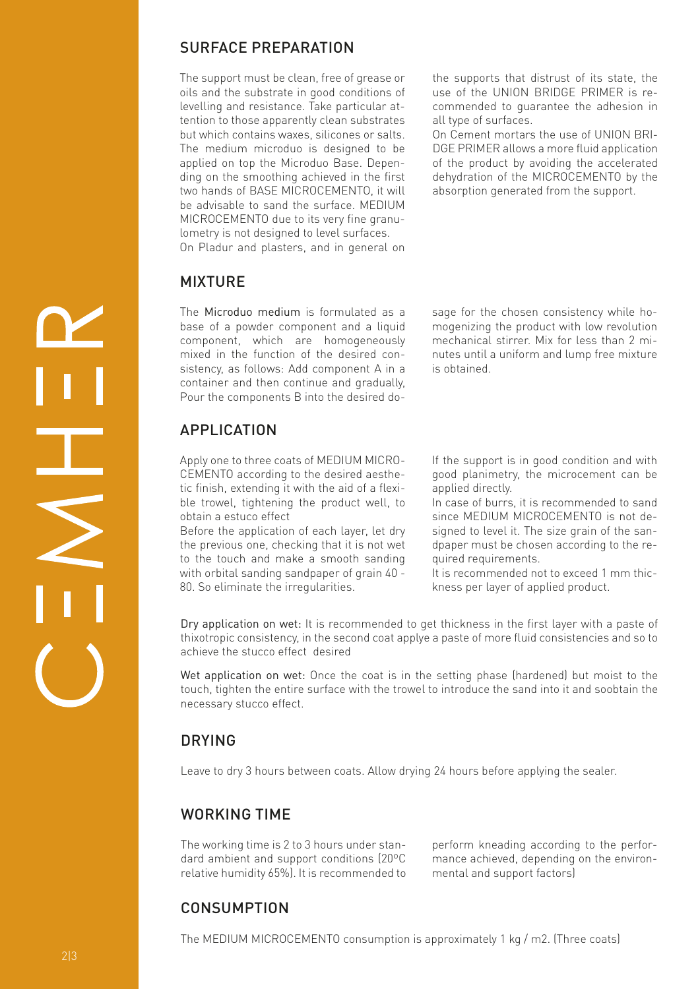#### SURFACE PREPARATION

The support must be clean, free of grease or oils and the substrate in good conditions of levelling and resistance. Take particular attention to those apparently clean substrates but which contains waxes, silicones or salts. The medium microduo is designed to be applied on top the Microduo Base. Depending on the smoothing achieved in the first two hands of BASE MICROCEMENTO, it will be advisable to sand the surface. MEDIUM MICROCEMENTO due to its very fine granulometry is not designed to level surfaces. On Pladur and plasters, and in general on

#### MIXTURE

The Microduo medium is formulated as a base of a powder component and a liquid component, which are homogeneously mixed in the function of the desired consistency, as follows: Add component A in a container and then continue and gradually, Pour the components B into the desired do-

## APPLICATION

Apply one to three coats of MEDIUM MICRO-CEMENTO according to the desired aesthetic finish, extending it with the aid of a flexible trowel, tightening the product well, to obtain a estuco effect

Before the application of each layer, let dry the previous one, checking that it is not wet to the touch and make a smooth sanding with orbital sanding sandpaper of grain 40 - 80. So eliminate the irregularities.

the supports that distrust of its state, the use of the UNION BRIDGE PRIMER is recommended to guarantee the adhesion in all type of surfaces.

On Cement mortars the use of UNION BRI-DGE PRIMER allows a more fluid application of the product by avoiding the accelerated dehydration of the MICROCEMENTO by the absorption generated from the support.

sage for the chosen consistency while homogenizing the product with low revolution mechanical stirrer. Mix for less than 2 minutes until a uniform and lump free mixture is obtained.

If the support is in good condition and with good planimetry, the microcement can be applied directly.

In case of burrs, it is recommended to sand since MEDIUM MICROCEMENTO is not designed to level it. The size grain of the sandpaper must be chosen according to the required requirements.

It is recommended not to exceed 1 mm thickness per layer of applied product.

Dry application on wet: It is recommended to get thickness in the first layer with a paste of thixotropic consistency, in the second coat applye a paste of more fluid consistencies and so to achieve the stucco effect desired

Wet application on wet: Once the coat is in the setting phase (hardened) but moist to the touch, tighten the entire surface with the trowel to introduce the sand into it and soobtain the necessary stucco effect.

#### DRYING

Leave to dry 3 hours between coats. Allow drying 24 hours before applying the sealer.

#### WORKING TIME

The working time is 2 to 3 hours under standard ambient and support conditions (20ºC relative humidity 65%). It is recommended to perform kneading according to the performance achieved, depending on the environmental and support factors)

## CONSUMPTION

The MEDIUM MICROCEMENTO consumption is approximately 1 kg / m2. (Three coats)